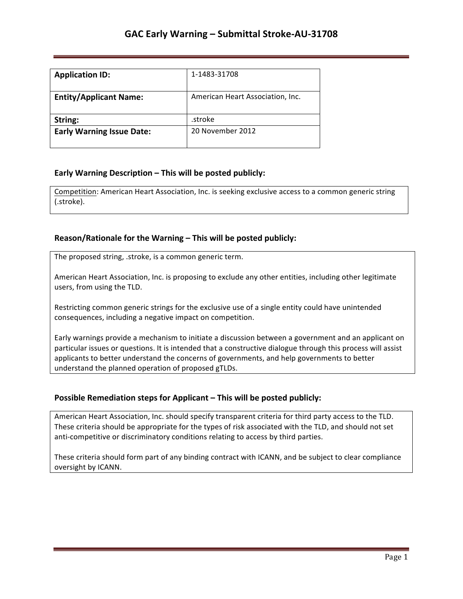| <b>Application ID:</b>           | 1-1483-31708                     |
|----------------------------------|----------------------------------|
| <b>Entity/Applicant Name:</b>    | American Heart Association, Inc. |
| String:                          | .stroke                          |
| <b>Early Warning Issue Date:</b> | 20 November 2012                 |

## **Early Warning Description – This will be posted publicly:**

Competition: American Heart Association, Inc. is seeking exclusive access to a common generic string (.stroke).

### **Reason/Rationale for the Warning – This will be posted publicly:**

The proposed string, .stroke, is a common generic term.

American Heart Association, Inc. is proposing to exclude any other entities, including other legitimate users, from using the TLD.

Restricting common generic strings for the exclusive use of a single entity could have unintended consequences, including a negative impact on competition.

Early warnings provide a mechanism to initiate a discussion between a government and an applicant on particular issues or questions. It is intended that a constructive dialogue through this process will assist applicants to better understand the concerns of governments, and help governments to better understand the planned operation of proposed gTLDs.

## **Possible Remediation steps for Applicant - This will be posted publicly:**

American Heart Association, Inc. should specify transparent criteria for third party access to the TLD. These criteria should be appropriate for the types of risk associated with the TLD, and should not set anti-competitive or discriminatory conditions relating to access by third parties.

These criteria should form part of any binding contract with ICANN, and be subject to clear compliance oversight by ICANN.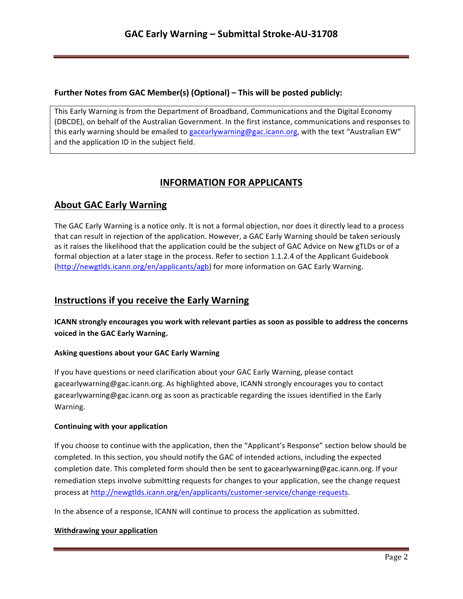## **Further Notes from GAC Member(s) (Optional) – This will be posted publicly:**

This Early Warning is from the Department of Broadband, Communications and the Digital Economy (DBCDE), on behalf of the Australian Government. In the first instance, communications and responses to this early warning should be emailed to gacearlywarning@gac.icann.org, with the text "Australian EW" and the application ID in the subject field.

# **INFORMATION FOR APPLICANTS**

# **About GAC Early Warning**

The GAC Early Warning is a notice only. It is not a formal objection, nor does it directly lead to a process that can result in rejection of the application. However, a GAC Early Warning should be taken seriously as it raises the likelihood that the application could be the subject of GAC Advice on New gTLDs or of a formal objection at a later stage in the process. Refer to section 1.1.2.4 of the Applicant Guidebook (http://newgtlds.icann.org/en/applicants/agb) for more information on GAC Early Warning.

## **Instructions if you receive the Early Warning**

**ICANN** strongly encourages you work with relevant parties as soon as possible to address the concerns voiced in the GAC Early Warning.

### **Asking questions about your GAC Early Warning**

If you have questions or need clarification about your GAC Early Warning, please contact gacearlywarning@gac.icann.org. As highlighted above, ICANN strongly encourages you to contact gacearlywarning@gac.icann.org as soon as practicable regarding the issues identified in the Early Warning. 

### **Continuing with your application**

If you choose to continue with the application, then the "Applicant's Response" section below should be completed. In this section, you should notify the GAC of intended actions, including the expected completion date. This completed form should then be sent to gacearlywarning@gac.icann.org. If your remediation steps involve submitting requests for changes to your application, see the change request process at http://newgtlds.icann.org/en/applicants/customer-service/change-requests.

In the absence of a response, ICANN will continue to process the application as submitted.

### **Withdrawing your application**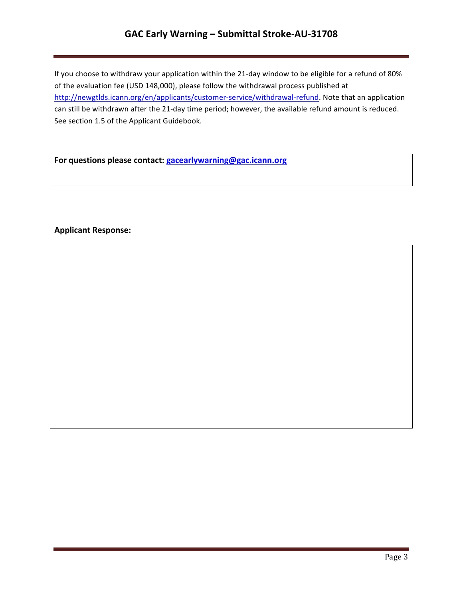# **GAC Early Warning – Submittal Stroke-AU-31708**

If you choose to withdraw your application within the 21-day window to be eligible for a refund of 80% of the evaluation fee (USD 148,000), please follow the withdrawal process published at http://newgtlds.icann.org/en/applicants/customer-service/withdrawal-refund. Note that an application can still be withdrawn after the 21-day time period; however, the available refund amount is reduced. See section 1.5 of the Applicant Guidebook.

For questions please contact: **gacearlywarning@gac.icann.org** 

### **Applicant Response:**